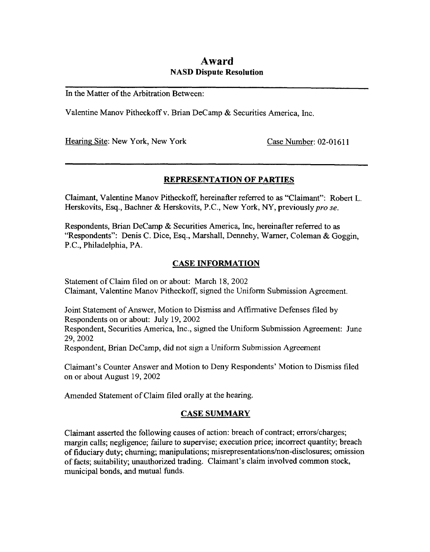# **Award NASD Dispute Resolution**

In the Matter of the Arbitration Between:

Valentine Manov Pitheckoff v. Brian Decamp & Securities America, Inc.

Hearing Site: New York, New York Case Number: 02-01611

## **REPRESENTATION OF PARTIES**

Claimant, Valentine Manov Pitheckoff, hereinafter referred to **as** "Claimant": Robert L. Herskovits, Esq., Bachner & Herskovits, P.C., New York, NY, previously pro se.

Respondents, Brian Decamp & Securities America, Inc, hereinafter referred to as "Respondents": Denis C. Dice, **Esq.,** Marshall, Dennehy, Warner, Coleman & Goggin, P.C., Philadelphia, **PA.** 

# **CASE INFORMATION**

Statement of Claim filed on or about: March **18,** 2002 Claimant, Valentine Manov Pitheckoff, signed the Uniform Submission Agreement.

Joint Statement of Answer, Motion to Dismiss and Affirmative Defenses filed by Respondents on or about: July 19,2002 Respondent, Securities America, Inc., signed the Uniform Submission Agreement: June 29,2002

Respondent, Brian Decamp, did not sign a Uniform Submission Agreement

Claimant's Counter Answer **and** Motion to Deny Respondents' Motion to Dismiss filed on or about August 19,2002

Amended Statement of Claim filed orally at the hearing.

# **CASE SUMMARY**

Claimant asserted the following causes of action: breach **of** contract; errorskharges; margin calls; negligence; failure to supervise; execution price; incorrect quantity; breach of fiduciary duty; churning; manipulations; misrepresentations/non-disclosures; omission of facts; suitability; unauthorized trading. Claimant's claim involved common stock, municipal bonds, and mutual funds.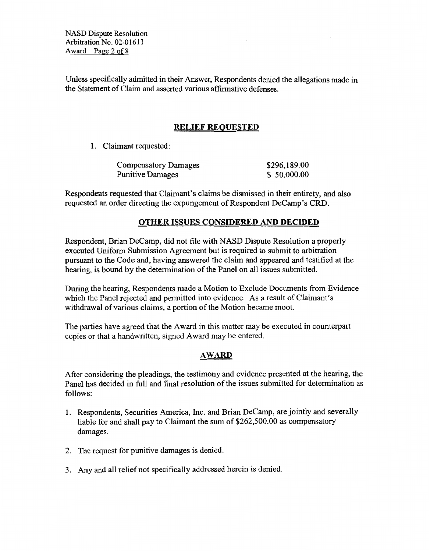**NASD Dispute** Resolution Arbitration No. 02-01611 **Award** Page 2 of **8** 

Unless specifically admitted in their Answer, Respondents denied the allegations made in the Statement of Claim and asserted various affirmative defenses.

# **RELIEF REQUESTED**

1. Claimant requested:

| <b>Compensatory Damages</b> | \$296,189.00 |
|-----------------------------|--------------|
| <b>Punitive Damages</b>     | \$50,000.00  |

Respondents requested that Claimant's claims be dismissed in their entirety, and also requested an order directing the expungement of Respondent Decamp's CRD.

## **OTHER ISSUES CONSIDERED AND DECIDED**

Respondent, Brian Decamp, did not file with NASD Dispute Resolution a properly executed Uniform Submission Agreement but is required to submit to arbitration pursuant to the Code and, having answered the claim and appeared and testified at the hearing, is bound by the determination of the Panel on all issues submitted.

During the hearing, Respondents made **a** Motion to Exclude Documents from Evidence which the Panel rejected and permitted into evidence. **As** a result of Claimant's withdrawal of various claims, a portion of the Motion became moot.

The parties have agreed that the Award in this matter may be executed in counterpart copies or that a handwritten, signed Award may be entered.

# **AWARD**

After considering the pleadings, the testimony and evidence presented at the hearing, the Panel has decided in full and final resolution of the issues submitted for determination as follows:

- 1. Respondents, Securities America, Inc. and Brian Decamp, are jointly and severally liable for and shall pay to Claimant the sum of *\$262,500.0O* **as** compensatory damages.
- **2.** The request for punitive damages is denied.
- 3. Any and all relief not specifically addressed herein is denied.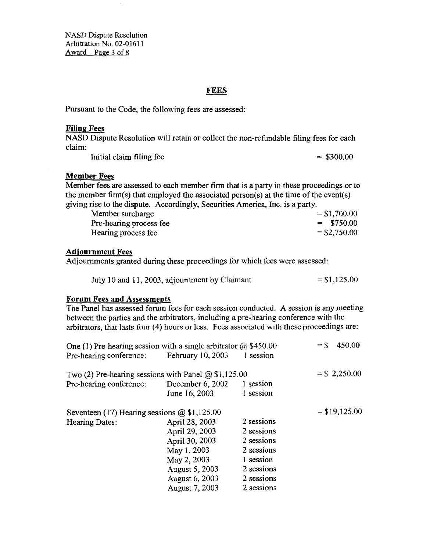**NASD** Dispute **Resolution**  Arbitration No. **02-0 16 1 1 Award Page 3 of 8** 

#### **FEES**

Pursuant to the Code, the following fees are assessed:

#### **Filing Fees**

NASD Dispute Resolution will retain or collect the non-refimdable filing fees for each claim:

Initial claim filing fee  $=$  \$300.00

#### **Member Fees**

Member fees are assessed to each member **firm** that is a party in these proceedings or to the member firm(s) that employed the associated person(s) at the time of the event(s) giving rise to the dispute. Accordingly, Securities America, Inc. is a party.

| Member surcharge        | $= $1,700.00$ |
|-------------------------|---------------|
| Pre-hearing process fee | $=$ \$750.00  |
| Hearing process fee     | $= $2,750.00$ |

## **Adiournment Fees**

Adjoumments granted during these proceedings for which fees were assessed:

| July 10 and 11, 2003, adjournment by Claimant | $= $1,125.00$ |
|-----------------------------------------------|---------------|
|-----------------------------------------------|---------------|

#### **Forum Fees and Assessments**

The Panel has assessed forum fees for each session conducted. **A** session is any meeting between the parties and the arbitrators, including a pre-hearing conference with the arbitrators, that lasts four **(4)** hours or less. Fees associated with these proceedings are:

| One (1) Pre-hearing session with a single arbitrator $\omega$ \$450.00 |                   |            | $=$ \$<br>450.00 |
|------------------------------------------------------------------------|-------------------|------------|------------------|
| Pre-hearing conference:                                                | February 10, 2003 | 1 session  |                  |
| Two (2) Pre-hearing sessions with Panel $\omega$ \$1,125.00            |                   |            | $=$ \$2,250.00   |
| Pre-hearing conference:                                                | December 6, 2002  | 1 session  |                  |
|                                                                        | June 16, 2003     | 1 session  |                  |
| Seventeen (17) Hearing sessions $@$1,125.00$                           |                   |            | $= $19,125.00$   |
| Hearing Dates:                                                         | April 28, 2003    | 2 sessions |                  |
|                                                                        | April 29, 2003    | 2 sessions |                  |
|                                                                        | April 30, 2003    | 2 sessions |                  |
|                                                                        | May 1, 2003       | 2 sessions |                  |
|                                                                        | May 2, 2003       | 1 session  |                  |
|                                                                        | August 5, 2003    | 2 sessions |                  |
|                                                                        | August 6, 2003    | 2 sessions |                  |
|                                                                        | August 7, 2003    | 2 sessions |                  |
|                                                                        |                   |            |                  |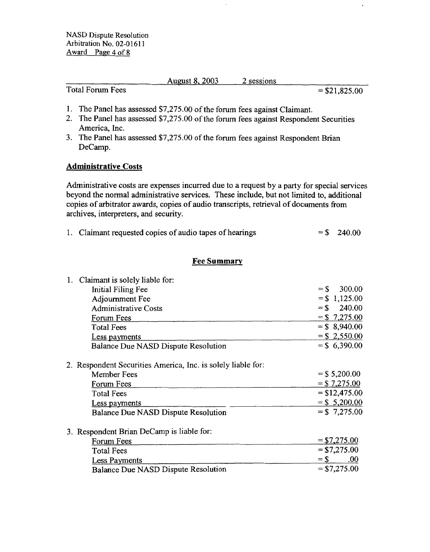**NASD** Dispute **Resolution Arbitration** No. **02-0 16 1 1**  Award Page 4 of 8

August 8,2003 *2* sessions

Total Forum Fees  $= $21,825.00$ 

×

- 1. The Panel has assessed \$7,275.00 of the forum fees against Claimant.
- 2. The Panel has assessed \$7,275.00 of the forum fees against Respondent Securities America, Inc.
- 3. The Panel has assessed \$7,275.00 of the forum fees against Respondent Brian Decamp.

## **Administrative Costs**

Administrative costs are expenses incurred due to a request by a party for special services beyond the normal administrative services. These include, but not limited to, additional copies **of** arbitrator awards, copies of audio transcripts, retrieval of documents fiom archives, interpreters, and security.

|  | 1. Claimant requested copies of audio tapes of hearings |  | $=$ \$ 240.00 |
|--|---------------------------------------------------------|--|---------------|
|--|---------------------------------------------------------|--|---------------|

## **Fee Summary**

| 1. Claimant is solely liable for:                            |                  |
|--------------------------------------------------------------|------------------|
| Initial Filing Fee                                           | 300.00<br>$=$ \$ |
| Adjournment Fee                                              | $=$ \$ 1,125.00  |
| <b>Administrative Costs</b>                                  | $=$ \$<br>240.00 |
| Forum Fees                                                   | $=$ \$ 7,275.00  |
| <b>Total Fees</b>                                            | $=$ \$ 8,940.00  |
| Less payments                                                | $=$ \$ 2,550.00  |
| Balance Due NASD Dispute Resolution                          | $=$ \$ 6,390.00  |
|                                                              |                  |
| 2. Respondent Securities America, Inc. is solely liable for: |                  |
| Member Fees                                                  | $=$ \$ 5,200.00  |
| Forum Fees                                                   | $=$ \$7,275.00   |
| <b>Total Fees</b>                                            | $=$ \$12,475.00  |
| Less payments                                                | $=$ \$ 5,200.00  |
| Balance Due NASD Dispute Resolution                          | $= $7,275.00$    |
| 3. Respondent Brian DeCamp is liable for:                    |                  |
| Forum Fees                                                   | $=$ \$7,275.00   |
| <b>Total Fees</b>                                            | $= $7,275.00$    |
| <b>Less Payments</b>                                         | .00<br>$=$ \$    |
| Balance Due NASD Dispute Resolution                          | $=$ \$7,275.00   |
|                                                              |                  |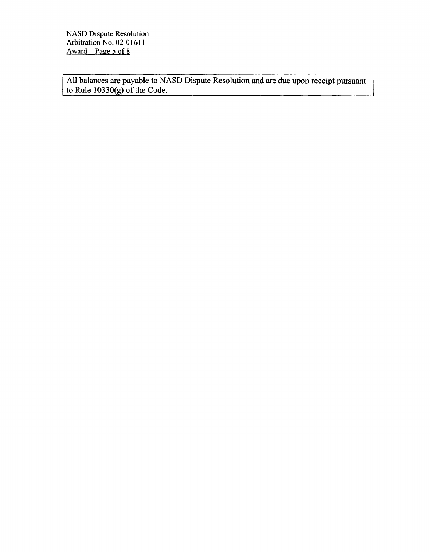**NASD** Dispute Resolution Arbitration No. 02-01611 Award Page 5 **of 8** 

All balances are payable to NASD Dispute Resolution and are due upon receipt pursuant to Rule **10330(g)** of the Code.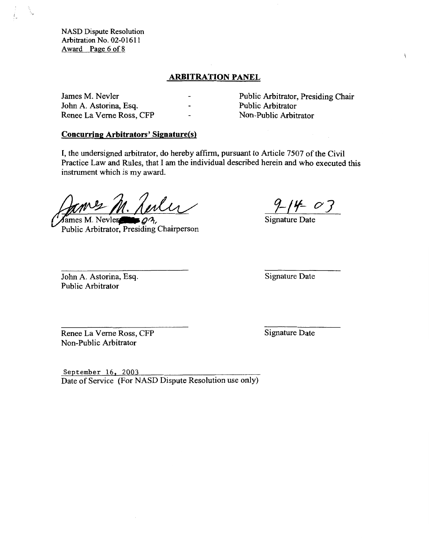**NASD Dispute Resolution Arbitration No. 02-0 16 1** 1 **Award Page 6** of **8** 

## **ARBITRATION PANEL**

**John** A. Astorina, **Esq.** Public Arbitrator Renee La Verne Ross, CFP

James M. Nevler - Public Arbitrator, Presiding Chair<br>John A. Astorina, Esq. - Public Arbitrator

 $\mathbf{r}$ 

#### **Concurring Arbitrators' Signature(s)**

I, the undersigned arbitrator, do hereby affirm, pursuant to Article 7507 of the Civil Practice Law **and** Rules, that I **am** the individual described herein and who executed this instrument which is **my** award.

fames M. Nevler- $Q_3$ , Public Arbitrator, Presiding Chairperson

 $- 03$ 

Signature Date

John A. Astorina, **Esq.**  Public Arbitrator

Signature Date

Renee La Verne Ross, CFP Non-Public Arbitrator

Signature Date

**September** 16, 2003 Date of Service (For NASD Dispute Resolution use only)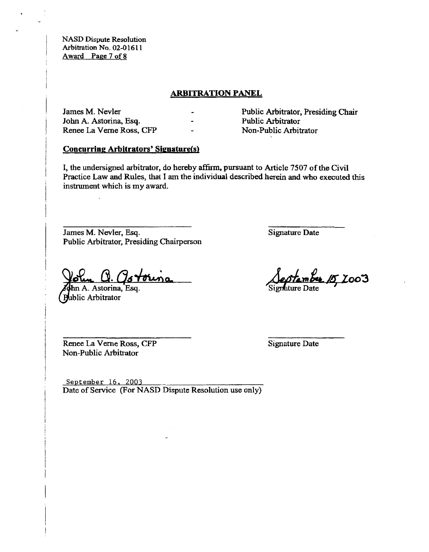**NASD Dispute Resolution Arbitration No.** *02-0* **16 1 1**  Award Page 7 of 8

## **ARBITRATION PANEL**

| James M. Nevler          | $\overline{\phantom{0}}$ | Public Arbitrator, Presiding Chair |
|--------------------------|--------------------------|------------------------------------|
| John A. Astorina, Esq.   | $\overline{\phantom{0}}$ | <b>Public Arbitrator</b>           |
| Renee La Verne Ross, CFP | $\overline{\phantom{0}}$ | Non-Public Arbitrator              |

## **Concurring Arbitrators' Signature(s)**

I, the **undersigned** arbitrator, do **hereby affirm,** pursuant to Article **7507 of the** Civil Practice Law **and** Rules, that I **am** the individual described **herein and who** executed **this**  instrument which **is my award.** 

James **M.** Nevler, **Esq.**  Public Arbitrator, Presiding **Chairperson** 

folum CV. (15 Foruño)<br>ann A. Astorina, Esq.

**Public Arbitrator** 

Signature Date

Septembre 15, 2003

Renee La Verne **Ross, CFP**  Non-Public Arbitrator

Signature Date

**September** 16, 2003 Date **of** Service **(For** NASD Dispute Resolution use **only)**